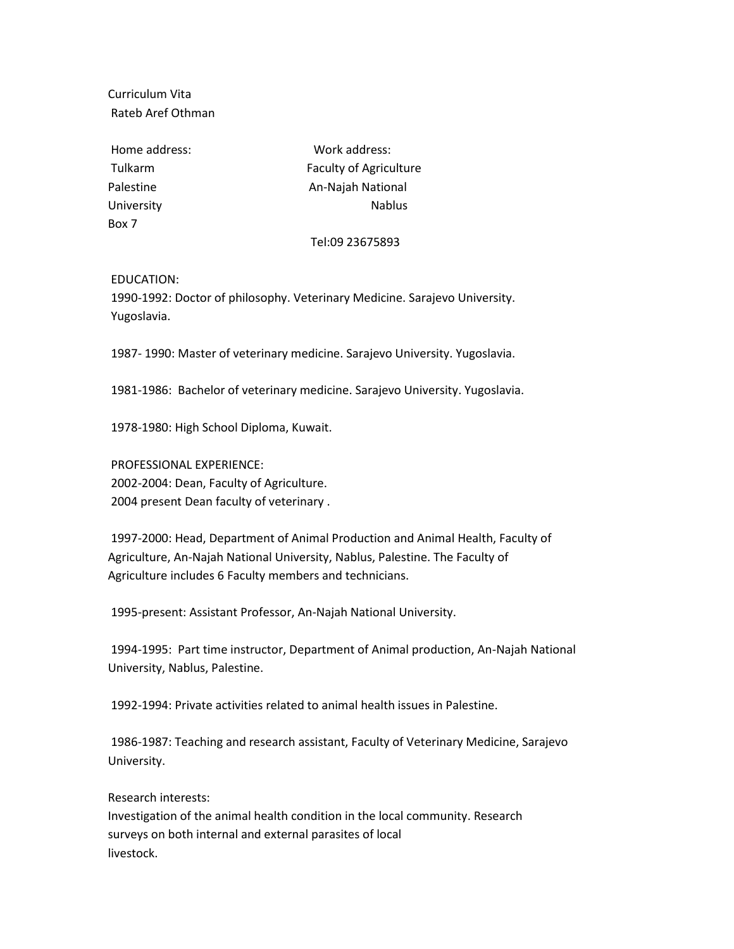Curriculum Vita Rateb Aref Othman

Home address: Work address: Box 7

Tulkarm Faculty of Agriculture Palestine **An-Najah National** University **Nablus** Nablus

## Tel:09 23675893

EDUCATION:

1990-1992: Doctor of philosophy. Veterinary Medicine. Sarajevo University. Yugoslavia.

1987- 1990: Master of veterinary medicine. Sarajevo University. Yugoslavia.

1981-1986: Bachelor of veterinary medicine. Sarajevo University. Yugoslavia.

1978-1980: High School Diploma, Kuwait.

PROFESSIONAL EXPERIENCE: 2002-2004: Dean, Faculty of Agriculture. 2004 present Dean faculty of veterinary .

1997-2000: Head, Department of Animal Production and Animal Health, Faculty of Agriculture, An-Najah National University, Nablus, Palestine. The Faculty of Agriculture includes 6 Faculty members and technicians.

1995-present: Assistant Professor, An-Najah National University.

1994-1995: Part time instructor, Department of Animal production, An-Najah National University, Nablus, Palestine.

1992-1994: Private activities related to animal health issues in Palestine.

1986-1987: Teaching and research assistant, Faculty of Veterinary Medicine, Sarajevo University.

Research interests:

Investigation of the animal health condition in the local community. Research surveys on both internal and external parasites of local livestock.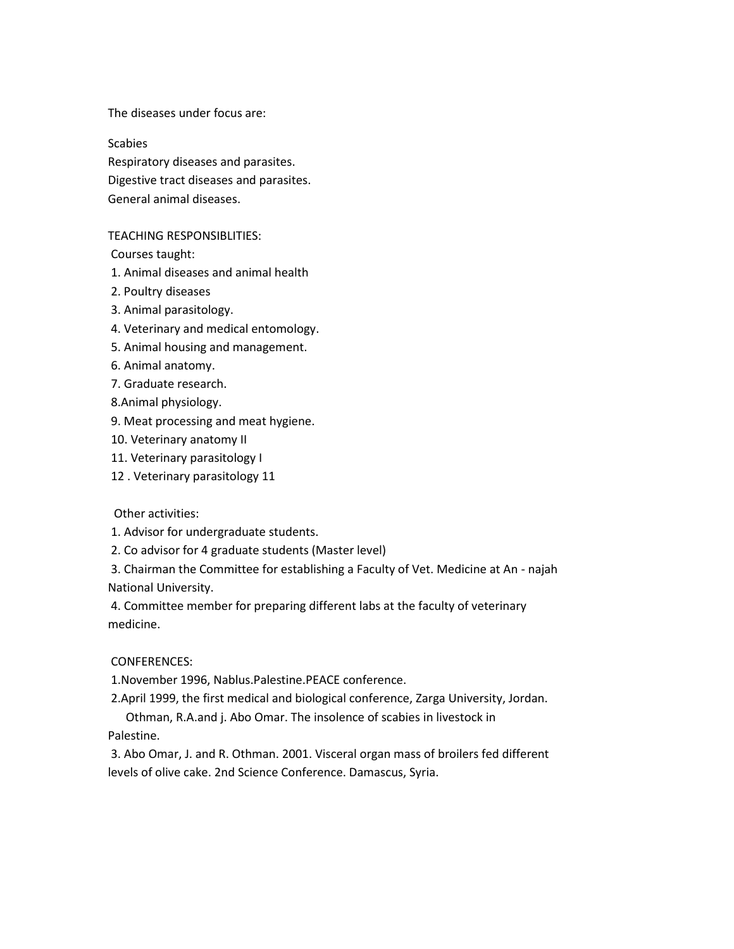The diseases under focus are:

**Scabies** Respiratory diseases and parasites. Digestive tract diseases and parasites. General animal diseases.

## TEACHING RESPONSIBLITIES:

Courses taught:

1. Animal diseases and animal health

- 2. Poultry diseases
- 3. Animal parasitology.
- 4. Veterinary and medical entomology.
- 5. Animal housing and management.
- 6. Animal anatomy.
- 7. Graduate research.
- 8.Animal physiology.
- 9. Meat processing and meat hygiene.
- 10. Veterinary anatomy II
- 11. Veterinary parasitology I
- 12 . Veterinary parasitology 11

Other activities:

- 1. Advisor for undergraduate students.
- 2. Co advisor for 4 graduate students (Master level)

3. Chairman the Committee for establishing a Faculty of Vet. Medicine at An - najah National University.

4. Committee member for preparing different labs at the faculty of veterinary medicine.

## CONFERENCES:

1.November 1996, Nablus.Palestine.PEACE conference.

2.April 1999, the first medical and biological conference, Zarga University, Jordan.

Othman, R.A.and j. Abo Omar. The insolence of scabies in livestock in Palestine.

3. Abo Omar, J. and R. Othman. 2001. Visceral organ mass of broilers fed different levels of olive cake. 2nd Science Conference. Damascus, Syria.